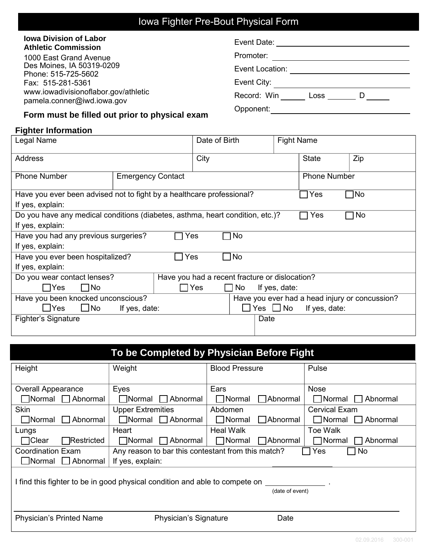# Iowa Fighter Pre-Bout Physical Form

#### **Iowa Division of Labor Athletic Commission**

1000 East Grand Avenue Des Moines, IA 50319-0209 Phone: 515-725-5602 Fax: 515-281-5361 www.iowadivisionoflabor.gov/athletic pamela.conner@iwd.iowa.gov

| Event Date: _   |      |  |
|-----------------|------|--|
| Promoter:       |      |  |
| Event Location: |      |  |
| Event City:     |      |  |
| Record: Win     | Loss |  |
| )pponent:       |      |  |

### **Form must be filled out prior to physical exam**

#### **Fighter Information**

| Legal Name                                                                                                    |                          | Date of Birth                                  |                      | <b>Fight Name</b>   |     |
|---------------------------------------------------------------------------------------------------------------|--------------------------|------------------------------------------------|----------------------|---------------------|-----|
| <b>Address</b>                                                                                                |                          |                                                | City                 |                     | Zip |
| <b>Phone Number</b>                                                                                           | <b>Emergency Contact</b> |                                                |                      | <b>Phone Number</b> |     |
| 1No<br>Have you ever been advised not to fight by a healthcare professional?<br>$\sqcap$ Yes                  |                          |                                                |                      |                     |     |
| If yes, explain:                                                                                              |                          |                                                |                      |                     |     |
| Do you have any medical conditions (diabetes, asthma, heart condition, etc.)?<br>$\Box$ No<br>$\sqsupset$ Yes |                          |                                                |                      |                     |     |
| If yes, explain:                                                                                              |                          |                                                |                      |                     |     |
| ∏No<br>Have you had any previous surgeries?<br>Yes                                                            |                          |                                                |                      |                     |     |
| If yes, explain:                                                                                              |                          |                                                |                      |                     |     |
| ∏No<br>Have you ever been hospitalized?<br>ヿYes                                                               |                          |                                                |                      |                     |     |
| If yes, explain:                                                                                              |                          |                                                |                      |                     |     |
| Do you wear contact lenses?                                                                                   |                          | Have you had a recent fracture or dislocation? |                      |                     |     |
| $\square$ No<br>$\sqsupset$ Yes                                                                               |                          | $\sqcap$ Yes<br>No<br>$\blacksquare$           | If yes, date:        |                     |     |
| Have you been knocked unconscious?<br>Have you ever had a head injury or concussion?                          |                          |                                                |                      |                     |     |
| $\Box$ No<br>$\sqcup$ Yes<br>If yes, date:                                                                    |                          |                                                | $\Box$ Yes $\Box$ No | If yes, date:       |     |
| Fighter's Signature                                                                                           |                          |                                                | Date                 |                     |     |
|                                                                                                               |                          |                                                |                      |                     |     |

| To be Completed by Physician Before Fight                                                          |                               |                                  |                               |  |
|----------------------------------------------------------------------------------------------------|-------------------------------|----------------------------------|-------------------------------|--|
| Height                                                                                             | Weight                        | <b>Blood Pressure</b>            | Pulse                         |  |
|                                                                                                    |                               |                                  |                               |  |
| <b>Overall Appearance</b>                                                                          | Eyes                          | Ears                             | <b>Nose</b>                   |  |
| Normal Abnormal                                                                                    | Normal Abnormal               | $\Box$ Normal<br>$\Box$ Abnormal | Normal Abnormal               |  |
| <b>Skin</b>                                                                                        | <b>Upper Extremities</b>      | Abdomen                          | <b>Cervical Exam</b>          |  |
| $\Box$ Normal<br>$\Box$ Abnormal                                                                   | $\Box$ Normal $\Box$ Abnormal | $\Box$ Normal<br>$\Box$ Abnormal | $\Box$ Normal $\Box$ Abnormal |  |
| Lungs                                                                                              | Heart                         | <b>Heal Walk</b>                 | <b>Toe Walk</b>               |  |
| ヿClear<br><b>Restricted</b>                                                                        | $\Box$ Normal $\Box$ Abnormal | $\Box$ Normal<br>□Abnormal       | Normal  <br>□ Abnormal        |  |
| <b>Coordination Exam</b><br>Any reason to bar this contestant from this match?<br>Yes<br>$\Box$ No |                               |                                  |                               |  |
| $\Box$ Normal $\Box$ Abnormal                                                                      | If yes, explain:              |                                  |                               |  |
| I find this fighter to be in good physical condition and able to compete on<br>(date of event)     |                               |                                  |                               |  |
| <b>Physician's Printed Name</b>                                                                    | Physician's Signature         | Date                             |                               |  |